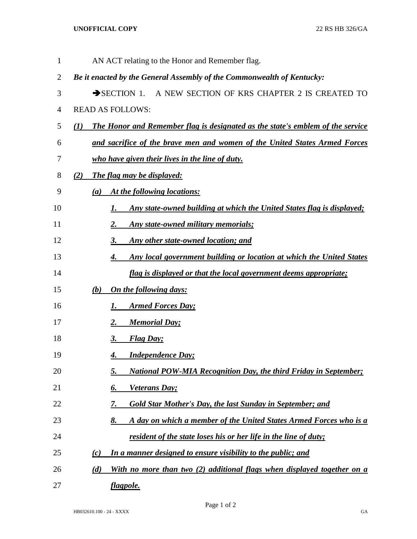## **UNOFFICIAL COPY** 22 RS HB 326/GA

| $\mathbf 1$    | AN ACT relating to the Honor and Remember flag.                                                |
|----------------|------------------------------------------------------------------------------------------------|
| $\overline{2}$ | Be it enacted by the General Assembly of the Commonwealth of Kentucky:                         |
| 3              | $\rightarrow$ SECTION 1.<br>A NEW SECTION OF KRS CHAPTER 2 IS CREATED TO                       |
| 4              | <b>READ AS FOLLOWS:</b>                                                                        |
| 5              | The Honor and Remember flag is designated as the state's emblem of the service<br>$\mathbf{U}$ |
| 6              | and sacrifice of the brave men and women of the United States Armed Forces                     |
| 7              | who have given their lives in the line of duty.                                                |
| 8              | <b>The flag may be displayed:</b><br>(2)                                                       |
| 9              | At the following locations:<br>(a)                                                             |
| 10             | Any state-owned building at which the United States flag is displayed;<br><u>I.</u>            |
| 11             | Any state-owned military memorials;<br><u>2.</u>                                               |
| 12             | Any other state-owned location; and<br><u>3.</u>                                               |
| 13             | Any local government building or location at which the United States<br><u>4.</u>              |
| 14             | flag is displayed or that the local government deems appropriate;                              |
| 15             | (b)<br>On the following days:                                                                  |
| 16             | <b>Armed Forces Day;</b><br><u>I.</u>                                                          |
| 17             | <b>Memorial Day;</b><br><u>2.</u>                                                              |
| 18             | <b>Flag Day</b> ;<br><u>3.</u>                                                                 |
| 19             | <b>Independence Day;</b><br>4.                                                                 |
| 20             | National POW-MIA Recognition Day, the third Friday in September;<br>5.                         |
| 21             | Veterans Day;<br>6.                                                                            |
| 22             | <b>Gold Star Mother's Day, the last Sunday in September; and</b><br>7.                         |
| 23             | A day on which a member of the United States Armed Forces who is a<br>8.                       |
| 24             | <u>resident of the state loses his or her life in the line of duty;</u>                        |
| 25             | In a manner designed to ensure visibility to the public; and<br>(c)                            |
| 26             | With no more than two (2) additional flags when displayed together on a<br>(d)                 |
| 27             | flagpole.                                                                                      |